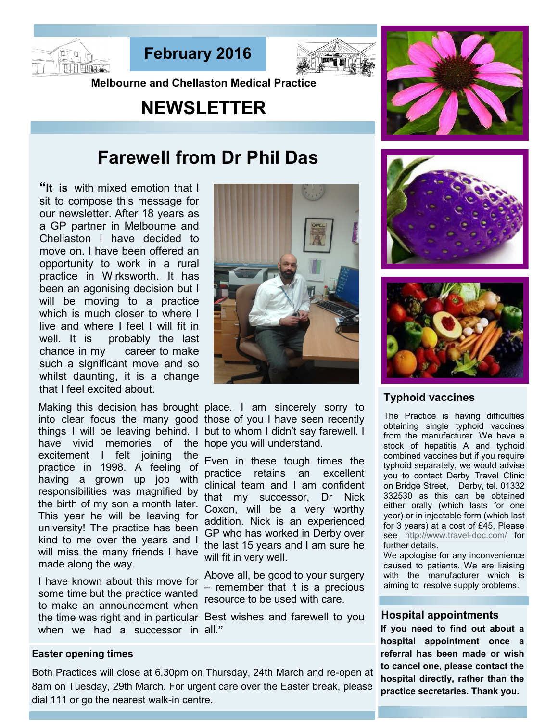





**Melbourne and Chellaston Medical Practice** 

# **NEWSLETTER**



## **Farewell from Dr Phil Das**

**"It is** with mixed emotion that I sit to compose this message for our newsletter. After 18 years as a GP partner in Melbourne and Chellaston I have decided to move on. I have been offered an opportunity to work in a rural practice in Wirksworth. It has been an agonising decision but I will be moving to a practice which is much closer to where I live and where I feel I will fit in well. It is probably the last chance in my career to make such a significant move and so whilst daunting, it is a change that I feel excited about.

into clear focus the many good those of you I have seen recently things I will be leaving behind. I but to whom I didn't say farewell. I have vivid memories of the hope you will understand. excitement I felt joining the practice in 1998. A feeling of having a grown up job with responsibilities was magnified by the birth of my son a month later. This year he will be leaving for university! The practice has been kind to me over the years and I will miss the many friends I have made along the way.

I have known about this move for some time but the practice wanted to make an announcement when the time was right and in particular Best wishes and farewell to you when we had a successor in all.**"**

### **Easter opening times**

Both Practices will close at 6.30pm on Thursday, 24th March and re-open at 8am on Tuesday, 29th March. For urgent care over the Easter break, please dial 111 or go the nearest walk-in centre.



Making this decision has brought place. I am sincerely sorry to

Even in these tough times the practice retains an excellent clinical team and I am confident that my successor, Dr Nick Coxon, will be a very worthy addition. Nick is an experienced GP who has worked in Derby over the last 15 years and I am sure he will fit in very well.

Above all, be good to your surgery – remember that it is a precious resource to be used with care.





## **Typhoid vaccines**

The Practice is having difficulties obtaining single typhoid vaccines from the manufacturer. We have a stock of hepatitis A and typhoid combined vaccines but if you require typhoid separately, we would advise you to contact Derby Travel Clinic on Bridge Street, Derby, tel. 01332 332530 as this can be obtained either orally (which lasts for one year) or in injectable form (which last for 3 years) at a cost of £45. Please see [http://www.travel](http://www.travel-doc.com/)-doc.com/ for further details.

We apologise for any inconvenience caused to patients. We are liaising with the manufacturer which is aiming to resolve supply problems.

#### **Hospital appointments**

**If you need to find out about a hospital appointment once a referral has been made or wish to cancel one, please contact the hospital directly, rather than the practice secretaries. Thank you.**